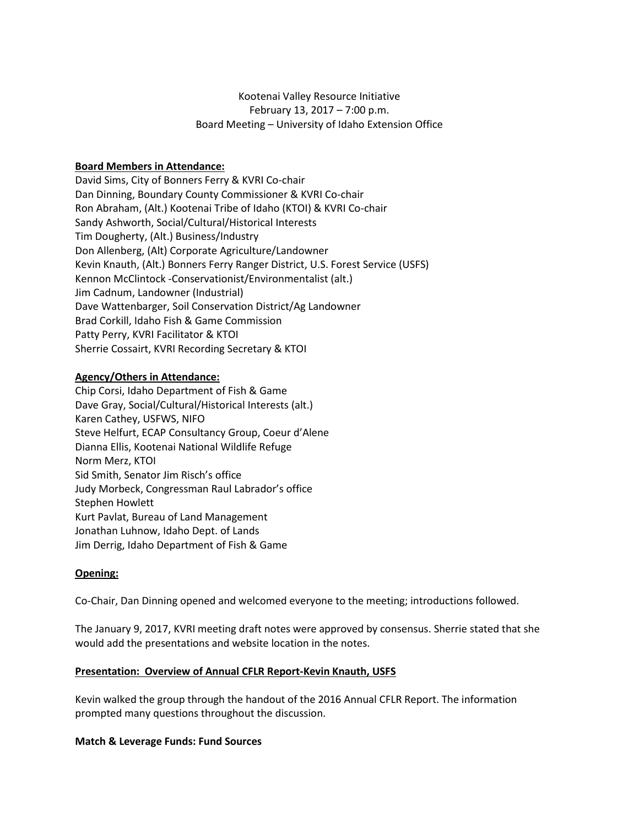# Kootenai Valley Resource Initiative February 13, 2017 – 7:00 p.m. Board Meeting – University of Idaho Extension Office

# **Board Members in Attendance:**

David Sims, City of Bonners Ferry & KVRI Co-chair Dan Dinning, Boundary County Commissioner & KVRI Co-chair Ron Abraham, (Alt.) Kootenai Tribe of Idaho (KTOI) & KVRI Co-chair Sandy Ashworth, Social/Cultural/Historical Interests Tim Dougherty, (Alt.) Business/Industry Don Allenberg, (Alt) Corporate Agriculture/Landowner Kevin Knauth, (Alt.) Bonners Ferry Ranger District, U.S. Forest Service (USFS) Kennon McClintock -Conservationist/Environmentalist (alt.) Jim Cadnum, Landowner (Industrial) Dave Wattenbarger, Soil Conservation District/Ag Landowner Brad Corkill, Idaho Fish & Game Commission Patty Perry, KVRI Facilitator & KTOI Sherrie Cossairt, KVRI Recording Secretary & KTOI

# **Agency/Others in Attendance:**

Chip Corsi, Idaho Department of Fish & Game Dave Gray, Social/Cultural/Historical Interests (alt.) Karen Cathey, USFWS, NIFO Steve Helfurt, ECAP Consultancy Group, Coeur d'Alene Dianna Ellis, Kootenai National Wildlife Refuge Norm Merz, KTOI Sid Smith, Senator Jim Risch's office Judy Morbeck, Congressman Raul Labrador's office Stephen Howlett Kurt Pavlat, Bureau of Land Management Jonathan Luhnow, Idaho Dept. of Lands Jim Derrig, Idaho Department of Fish & Game

## **Opening:**

Co-Chair, Dan Dinning opened and welcomed everyone to the meeting; introductions followed.

The January 9, 2017, KVRI meeting draft notes were approved by consensus. Sherrie stated that she would add the presentations and website location in the notes.

## **Presentation: Overview of Annual CFLR Report-Kevin Knauth, USFS**

Kevin walked the group through the handout of the 2016 Annual CFLR Report. The information prompted many questions throughout the discussion.

## **Match & Leverage Funds: Fund Sources**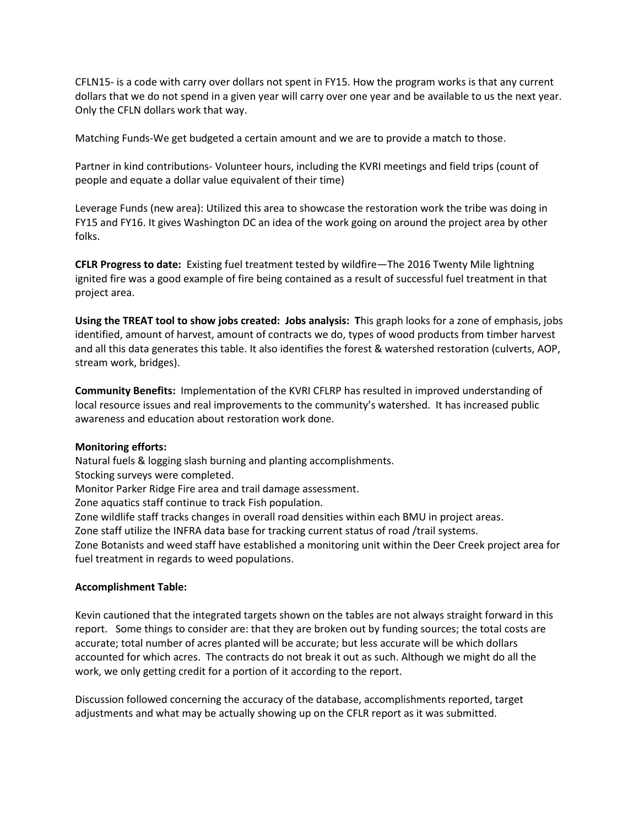CFLN15- is a code with carry over dollars not spent in FY15. How the program works is that any current dollars that we do not spend in a given year will carry over one year and be available to us the next year. Only the CFLN dollars work that way.

Matching Funds-We get budgeted a certain amount and we are to provide a match to those.

Partner in kind contributions- Volunteer hours, including the KVRI meetings and field trips (count of people and equate a dollar value equivalent of their time)

Leverage Funds (new area): Utilized this area to showcase the restoration work the tribe was doing in FY15 and FY16. It gives Washington DC an idea of the work going on around the project area by other folks.

**CFLR Progress to date:** Existing fuel treatment tested by wildfire—The 2016 Twenty Mile lightning ignited fire was a good example of fire being contained as a result of successful fuel treatment in that project area.

**Using the TREAT tool to show jobs created: Jobs analysis: T**his graph looks for a zone of emphasis, jobs identified, amount of harvest, amount of contracts we do, types of wood products from timber harvest and all this data generates this table. It also identifies the forest & watershed restoration (culverts, AOP, stream work, bridges).

**Community Benefits:** Implementation of the KVRI CFLRP has resulted in improved understanding of local resource issues and real improvements to the community's watershed. It has increased public awareness and education about restoration work done.

## **Monitoring efforts:**

Natural fuels & logging slash burning and planting accomplishments.

Stocking surveys were completed.

Monitor Parker Ridge Fire area and trail damage assessment.

Zone aquatics staff continue to track Fish population.

Zone wildlife staff tracks changes in overall road densities within each BMU in project areas.

Zone staff utilize the INFRA data base for tracking current status of road /trail systems.

Zone Botanists and weed staff have established a monitoring unit within the Deer Creek project area for fuel treatment in regards to weed populations.

## **Accomplishment Table:**

Kevin cautioned that the integrated targets shown on the tables are not always straight forward in this report. Some things to consider are: that they are broken out by funding sources; the total costs are accurate; total number of acres planted will be accurate; but less accurate will be which dollars accounted for which acres. The contracts do not break it out as such. Although we might do all the work, we only getting credit for a portion of it according to the report.

Discussion followed concerning the accuracy of the database, accomplishments reported, target adjustments and what may be actually showing up on the CFLR report as it was submitted.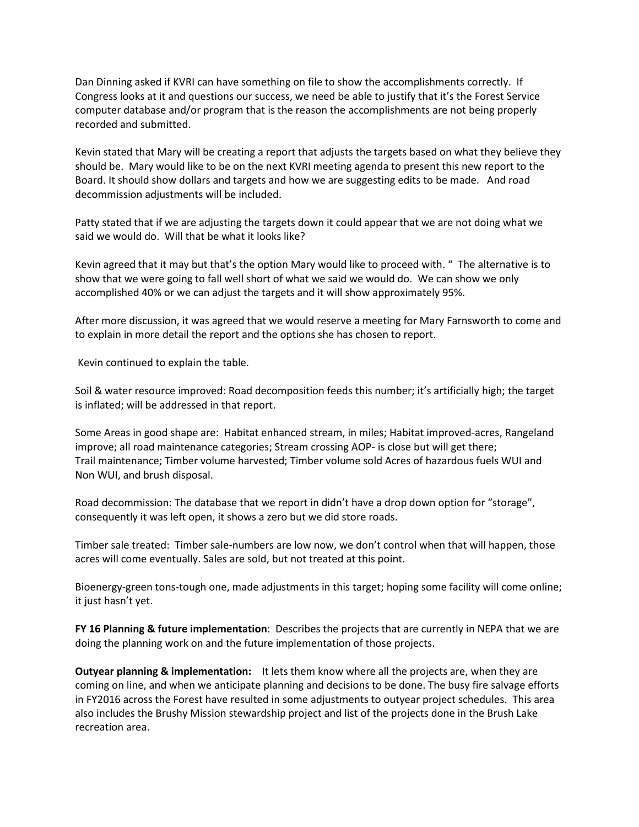Dan Dinning asked if KVRI can have something on file to show the accomplishments correctly. If Congress looks at it and questions our success, we need be able to justify that it's the Forest Service computer database and/or program that is the reason the accomplishments are not being properly recorded and submitted.

Kevin stated that Mary will be creating a report that adjusts the targets based on what they believe they should be. Mary would like to be on the next KVRI meeting agenda to present this new report to the Board. It should show dollars and targets and how we are suggesting edits to be made. And road decommission adjustments will be included.

Patty stated that if we are adjusting the targets down it could appear that we are not doing what we said we would do. Will that be what it looks like?

Kevin agreed that it may but that's the option Mary would like to proceed with. " The alternative is to show that we were going to fall well short of what we said we would do. We can show we only accomplished 40% or we can adjust the targets and it will show approximately 95%.

After more discussion, it was agreed that we would reserve a meeting for Mary Farnsworth to come and to explain in more detail the report and the options she has chosen to report.

Kevin continued to explain the table.

Soil & water resource improved: Road decomposition feeds this number; it's artificially high; the target is inflated; will be addressed in that report.

Some Areas in good shape are: Habitat enhanced stream, in miles; Habitat improved-acres, Rangeland improve; all road maintenance categories; Stream crossing AOP- is close but will get there; Trail maintenance; Timber volume harvested; Timber volume sold Acres of hazardous fuels WUI and Non WUI, and brush disposal.

Road decommission: The database that we report in didn't have a drop down option for "storage", consequently it was left open, it shows a zero but we did store roads.

Timber sale treated: Timber sale-numbers are low now, we don't control when that will happen, those acres will come eventually. Sales are sold, but not treated at this point.

Bioenergy-green tons-tough one, made adjustments in this target; hoping some facility will come online; it just hasn't yet.

**FY 16 Planning & future implementation**: Describes the projects that are currently in NEPA that we are doing the planning work on and the future implementation of those projects.

**Outyear planning & implementation:** It lets them know where all the projects are, when they are coming on line, and when we anticipate planning and decisions to be done. The busy fire salvage efforts in FY2016 across the Forest have resulted in some adjustments to outyear project schedules. This area also includes the Brushy Mission stewardship project and list of the projects done in the Brush Lake recreation area.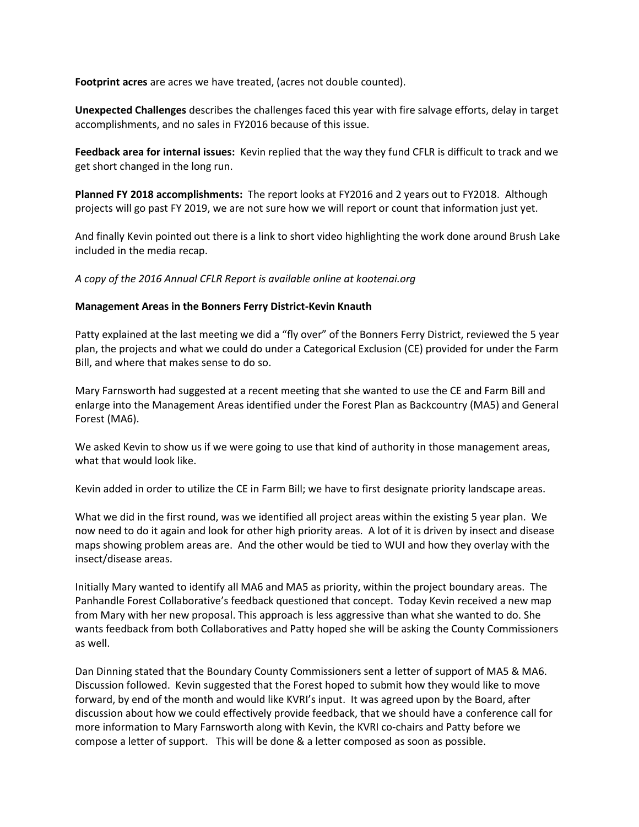**Footprint acres** are acres we have treated, (acres not double counted).

**Unexpected Challenges** describes the challenges faced this year with fire salvage efforts, delay in target accomplishments, and no sales in FY2016 because of this issue.

**Feedback area for internal issues:** Kevin replied that the way they fund CFLR is difficult to track and we get short changed in the long run.

**Planned FY 2018 accomplishments:** The report looks at FY2016 and 2 years out to FY2018.Although projects will go past FY 2019, we are not sure how we will report or count that information just yet.

And finally Kevin pointed out there is a link to short video highlighting the work done around Brush Lake included in the media recap.

*A copy of the 2016 Annual CFLR Report is available online at kootenai.org*

### **Management Areas in the Bonners Ferry District-Kevin Knauth**

Patty explained at the last meeting we did a "fly over" of the Bonners Ferry District, reviewed the 5 year plan, the projects and what we could do under a Categorical Exclusion (CE) provided for under the Farm Bill, and where that makes sense to do so.

Mary Farnsworth had suggested at a recent meeting that she wanted to use the CE and Farm Bill and enlarge into the Management Areas identified under the Forest Plan as Backcountry (MA5) and General Forest (MA6).

We asked Kevin to show us if we were going to use that kind of authority in those management areas, what that would look like.

Kevin added in order to utilize the CE in Farm Bill; we have to first designate priority landscape areas.

What we did in the first round, was we identified all project areas within the existing 5 year plan. We now need to do it again and look for other high priority areas. A lot of it is driven by insect and disease maps showing problem areas are. And the other would be tied to WUI and how they overlay with the insect/disease areas.

Initially Mary wanted to identify all MA6 and MA5 as priority, within the project boundary areas. The Panhandle Forest Collaborative's feedback questioned that concept. Today Kevin received a new map from Mary with her new proposal. This approach is less aggressive than what she wanted to do. She wants feedback from both Collaboratives and Patty hoped she will be asking the County Commissioners as well.

Dan Dinning stated that the Boundary County Commissioners sent a letter of support of MA5 & MA6. Discussion followed. Kevin suggested that the Forest hoped to submit how they would like to move forward, by end of the month and would like KVRI's input. It was agreed upon by the Board, after discussion about how we could effectively provide feedback, that we should have a conference call for more information to Mary Farnsworth along with Kevin, the KVRI co-chairs and Patty before we compose a letter of support. This will be done & a letter composed as soon as possible.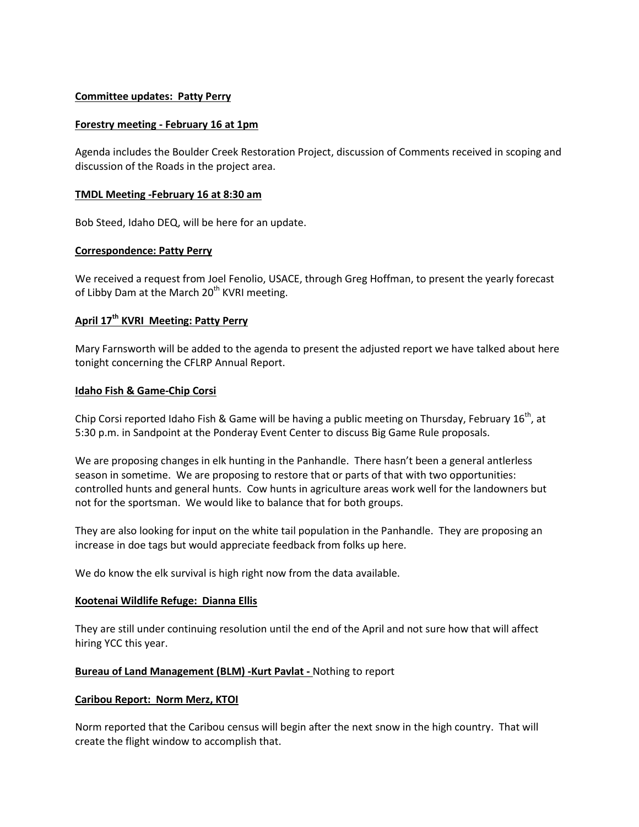### **Committee updates: Patty Perry**

### **Forestry meeting - February 16 at 1pm**

Agenda includes the Boulder Creek Restoration Project, discussion of Comments received in scoping and discussion of the Roads in the project area.

### **TMDL Meeting -February 16 at 8:30 am**

Bob Steed, Idaho DEQ, will be here for an update.

### **Correspondence: Patty Perry**

We received a request from Joel Fenolio, USACE, through Greg Hoffman, to present the yearly forecast of Libby Dam at the March 20<sup>th</sup> KVRI meeting.

# **April 17th KVRI Meeting: Patty Perry**

Mary Farnsworth will be added to the agenda to present the adjusted report we have talked about here tonight concerning the CFLRP Annual Report.

### **Idaho Fish & Game-Chip Corsi**

Chip Corsi reported Idaho Fish & Game will be having a public meeting on Thursday, February 16<sup>th</sup>, at 5:30 p.m. in Sandpoint at the Ponderay Event Center to discuss Big Game Rule proposals.

We are proposing changes in elk hunting in the Panhandle. There hasn't been a general antlerless season in sometime. We are proposing to restore that or parts of that with two opportunities: controlled hunts and general hunts. Cow hunts in agriculture areas work well for the landowners but not for the sportsman. We would like to balance that for both groups.

They are also looking for input on the white tail population in the Panhandle. They are proposing an increase in doe tags but would appreciate feedback from folks up here.

We do know the elk survival is high right now from the data available.

## **Kootenai Wildlife Refuge: Dianna Ellis**

They are still under continuing resolution until the end of the April and not sure how that will affect hiring YCC this year.

## **Bureau of Land Management (BLM) -Kurt Pavlat -** Nothing to report

#### **Caribou Report: Norm Merz, KTOI**

Norm reported that the Caribou census will begin after the next snow in the high country. That will create the flight window to accomplish that.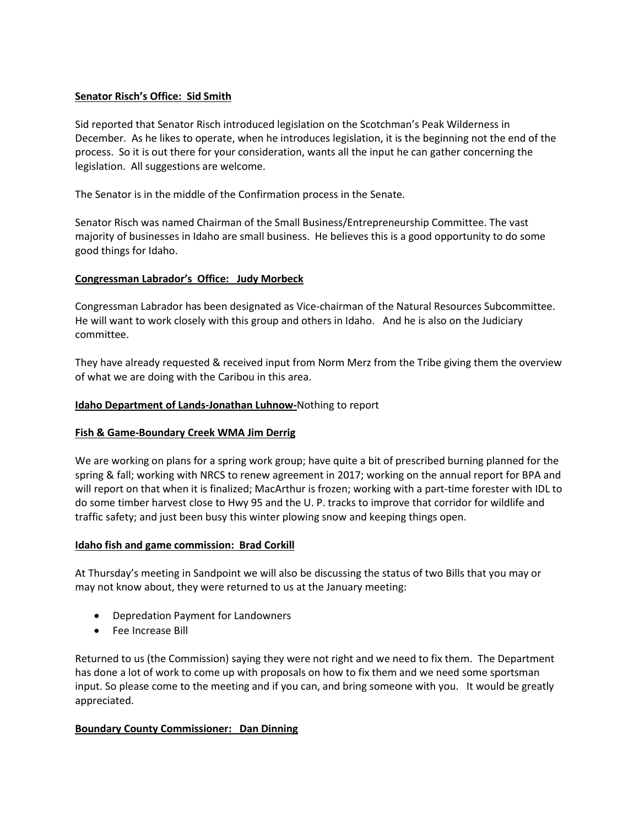# **Senator Risch's Office: Sid Smith**

Sid reported that Senator Risch introduced legislation on the Scotchman's Peak Wilderness in December. As he likes to operate, when he introduces legislation, it is the beginning not the end of the process. So it is out there for your consideration, wants all the input he can gather concerning the legislation. All suggestions are welcome.

The Senator is in the middle of the Confirmation process in the Senate.

Senator Risch was named Chairman of the Small Business/Entrepreneurship Committee. The vast majority of businesses in Idaho are small business. He believes this is a good opportunity to do some good things for Idaho.

# **Congressman Labrador's Office: Judy Morbeck**

Congressman Labrador has been designated as Vice-chairman of the Natural Resources Subcommittee. He will want to work closely with this group and others in Idaho. And he is also on the Judiciary committee.

They have already requested & received input from Norm Merz from the Tribe giving them the overview of what we are doing with the Caribou in this area.

# **Idaho Department of Lands-Jonathan Luhnow-**Nothing to report

## **Fish & Game-Boundary Creek WMA Jim Derrig**

We are working on plans for a spring work group; have quite a bit of prescribed burning planned for the spring & fall; working with NRCS to renew agreement in 2017; working on the annual report for BPA and will report on that when it is finalized; MacArthur is frozen; working with a part-time forester with IDL to do some timber harvest close to Hwy 95 and the U. P. tracks to improve that corridor for wildlife and traffic safety; and just been busy this winter plowing snow and keeping things open.

## **Idaho fish and game commission: Brad Corkill**

At Thursday's meeting in Sandpoint we will also be discussing the status of two Bills that you may or may not know about, they were returned to us at the January meeting:

- Depredation Payment for Landowners
- Fee Increase Bill

Returned to us (the Commission) saying they were not right and we need to fix them. The Department has done a lot of work to come up with proposals on how to fix them and we need some sportsman input. So please come to the meeting and if you can, and bring someone with you. It would be greatly appreciated.

## **Boundary County Commissioner: Dan Dinning**